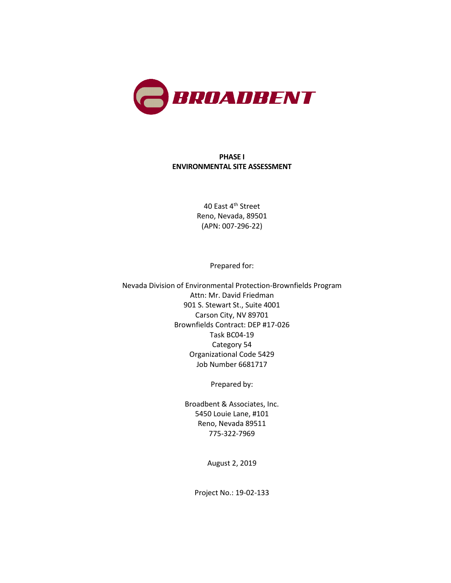

### **PHASE I ENVIRONMENTAL SITE ASSESSMENT**

40 East 4<sup>th</sup> Street Reno, Nevada, 89501 (APN: 007-296-22)

Prepared for:

Nevada Division of Environmental Protection-Brownfields Program Attn: Mr. David Friedman 901 S. Stewart St., Suite 4001 Carson City, NV 89701 Brownfields Contract: DEP #17-026 Task BC04-19 Category 54 Organizational Code 5429 Job Number 6681717

Prepared by:

Broadbent & Associates, Inc. 5450 Louie Lane, #101 Reno, Nevada 89511 775-322-7969

August 2, 2019

Project No.: 19-02-133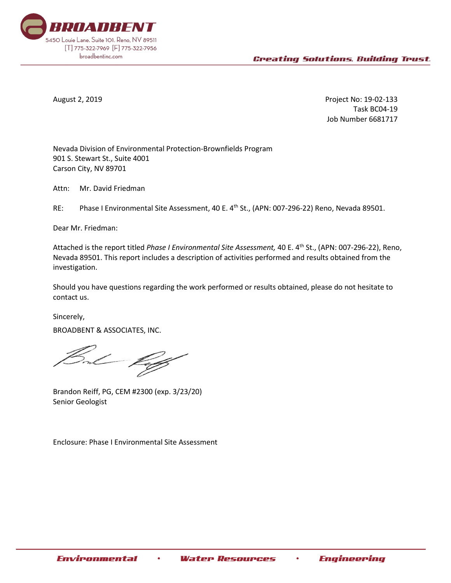

August 2, 2019 Project No: 19-02-133 Task BC04-19 Job Number 6681717

Nevada Division of Environmental Protection-Brownfields Program 901 S. Stewart St., Suite 4001 Carson City, NV 89701

Attn: Mr. David Friedman

RE: Phase I Environmental Site Assessment, 40 E. 4<sup>th</sup> St., (APN: 007-296-22) Reno, Nevada 89501.

Dear Mr. Friedman:

Attached is the report titled *Phase I Environmental Site Assessment,* 40 E. 4th St., (APN: 007-296-22), Reno, Nevada 89501. This report includes a description of activities performed and results obtained from the investigation.

Should you have questions regarding the work performed or results obtained, please do not hesitate to contact us.

Sincerely, BROADBENT & ASSOCIATES, INC.

Brandon Reiff, PG, CEM #2300 (exp. 3/23/20) Senior Geologist

Enclosure: Phase I Environmental Site Assessment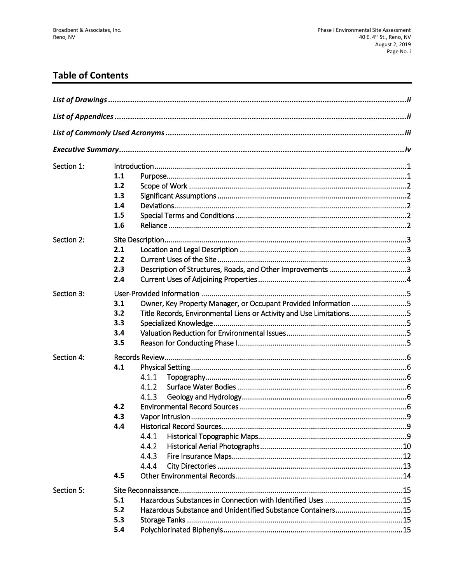# **Table of Contents**

| Section 1: | 1.1<br>1.2<br>1.3<br>1.4<br>1.5<br>1.6                                                                                                                                    |
|------------|---------------------------------------------------------------------------------------------------------------------------------------------------------------------------|
| Section 2: | 2.1<br>2.2<br>2.3<br>2.4                                                                                                                                                  |
| Section 3: | Owner, Key Property Manager, or Occupant Provided Information 5<br>3.1<br>Title Records, Environmental Liens or Activity and Use Limitations5<br>3.2<br>3.3<br>3.4<br>3.5 |
| Section 4: | 4.1<br>4.1.1<br>4.1.2<br>4.1.3<br>4.2<br>4.3<br>4.4<br>4.4.1<br>4.4.2<br>4.4.3<br>4.4.4<br>4.5                                                                            |
| Section 5: | 5.1<br>5.2<br>Hazardous Substance and Unidentified Substance Containers15<br>5.3<br>5.4                                                                                   |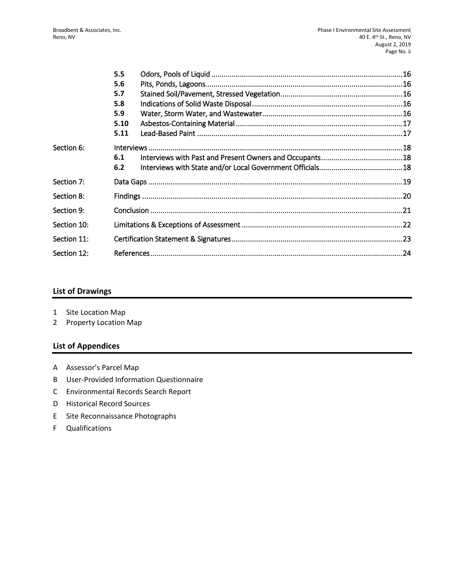|             | 5.5  |  |  |
|-------------|------|--|--|
|             | 5.6  |  |  |
|             | 5.7  |  |  |
|             | 5.8  |  |  |
|             | 5.9  |  |  |
|             | 5.10 |  |  |
|             | 5.11 |  |  |
| Section 6:  |      |  |  |
|             | 6.1  |  |  |
|             | 6.2  |  |  |
| Section 7:  |      |  |  |
| Section 8:  |      |  |  |
| Section 9:  |      |  |  |
| Section 10: |      |  |  |
| Section 11: |      |  |  |
| Section 12: |      |  |  |

### **List of Drawings**

- 1 Site Location Map
- 2 Property Location Map

### **List of Appendices**

- A Assessor's Parcel Map
- B User-Provided Information Questionnaire
- C Environmental Records Search Report
- D Historical Record Sources
- E Site Reconnaissance Photographs
- F Qualifications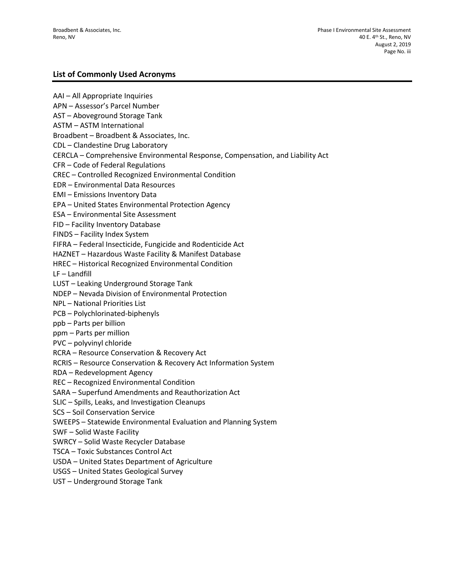### **List of Commonly Used Acronyms**

AAI – All Appropriate Inquiries APN – Assessor's Parcel Number AST – Aboveground Storage Tank ASTM – ASTM International Broadbent – Broadbent & Associates, Inc. CDL – Clandestine Drug Laboratory CERCLA – Comprehensive Environmental Response, Compensation, and Liability Act CFR – Code of Federal Regulations CREC – Controlled Recognized Environmental Condition EDR – Environmental Data Resources EMI – Emissions Inventory Data EPA – United States Environmental Protection Agency ESA – Environmental Site Assessment FID – Facility Inventory Database FINDS – Facility Index System FIFRA – Federal Insecticide, Fungicide and Rodenticide Act HAZNET – Hazardous Waste Facility & Manifest Database HREC – Historical Recognized Environmental Condition LF – Landfill LUST – Leaking Underground Storage Tank NDEP – Nevada Division of Environmental Protection NPL – National Priorities List PCB – Polychlorinated-biphenyls ppb – Parts per billion ppm – Parts per million PVC – polyvinyl chloride RCRA – Resource Conservation & Recovery Act RCRIS – Resource Conservation & Recovery Act Information System RDA – Redevelopment Agency REC – Recognized Environmental Condition SARA – Superfund Amendments and Reauthorization Act SLIC – Spills, Leaks, and Investigation Cleanups SCS – Soil Conservation Service SWEEPS – Statewide Environmental Evaluation and Planning System SWF – Solid Waste Facility SWRCY – Solid Waste Recycler Database TSCA – Toxic Substances Control Act USDA – United States Department of Agriculture USGS – United States Geological Survey UST – Underground Storage Tank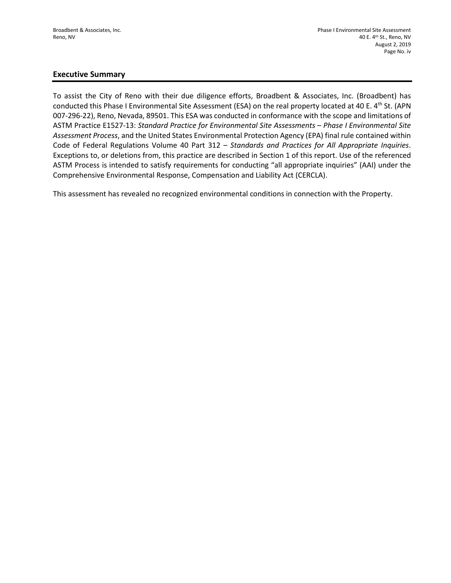### **Executive Summary**

To assist the City of Reno with their due diligence efforts, Broadbent & Associates, Inc. (Broadbent) has conducted this Phase I Environmental Site Assessment (ESA) on the real property located at 40 E. 4<sup>th</sup> St. (APN 007-296-22), Reno, Nevada, 89501. This ESA was conducted in conformance with the scope and limitations of ASTM Practice E1527-13: *Standard Practice for Environmental Site Assessments – Phase I Environmental Site Assessment Process*, and the United States Environmental Protection Agency (EPA) final rule contained within Code of Federal Regulations Volume 40 Part 312 – *Standards and Practices for All Appropriate Inquiries*. Exceptions to, or deletions from, this practice are described in Section 1 of this report. Use of the referenced ASTM Process is intended to satisfy requirements for conducting "all appropriate inquiries" (AAI) under the Comprehensive Environmental Response, Compensation and Liability Act (CERCLA).

This assessment has revealed no recognized environmental conditions in connection with the Property.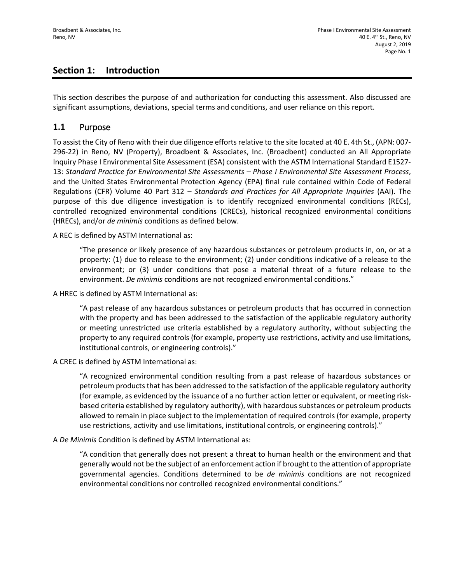## **Section 1: Introduction**

This section describes the purpose of and authorization for conducting this assessment. Also discussed are significant assumptions, deviations, special terms and conditions, and user reliance on this report.

### **1.1** Purpose

To assist the City of Reno with their due diligence efforts relative to the site located at 40 E. 4th St., (APN: 007- 296-22) in Reno, NV (Property), Broadbent & Associates, Inc. (Broadbent) conducted an All Appropriate Inquiry Phase I Environmental Site Assessment (ESA) consistent with the ASTM International Standard E1527- 13: *Standard Practice for Environmental Site Assessments – Phase I Environmental Site Assessment Process*, and the United States Environmental Protection Agency (EPA) final rule contained within Code of Federal Regulations (CFR) Volume 40 Part 312 – *Standards and Practices for All Appropriate Inquiries* (AAI). The purpose of this due diligence investigation is to identify recognized environmental conditions (RECs), controlled recognized environmental conditions (CRECs), historical recognized environmental conditions (HRECs), and/or *de minimis* conditions as defined below.

A REC is defined by ASTM International as:

"The presence or likely presence of any hazardous substances or petroleum products in, on, or at a property: (1) due to release to the environment; (2) under conditions indicative of a release to the environment; or (3) under conditions that pose a material threat of a future release to the environment. *De minimis* conditions are not recognized environmental conditions."

A HREC is defined by ASTM International as:

"A past release of any hazardous substances or petroleum products that has occurred in connection with the property and has been addressed to the satisfaction of the applicable regulatory authority or meeting unrestricted use criteria established by a regulatory authority, without subjecting the property to any required controls (for example, property use restrictions, activity and use limitations, institutional controls, or engineering controls)."

A CREC is defined by ASTM International as:

"A recognized environmental condition resulting from a past release of hazardous substances or petroleum products that has been addressed to the satisfaction of the applicable regulatory authority (for example, as evidenced by the issuance of a no further action letter or equivalent, or meeting riskbased criteria established by regulatory authority), with hazardous substances or petroleum products allowed to remain in place subject to the implementation of required controls (for example, property use restrictions, activity and use limitations, institutional controls, or engineering controls)."

A *De Minimis* Condition is defined by ASTM International as:

"A condition that generally does not present a threat to human health or the environment and that generally would not be the subject of an enforcement action if brought to the attention of appropriate governmental agencies. Conditions determined to be *de minimis* conditions are not recognized environmental conditions nor controlled recognized environmental conditions."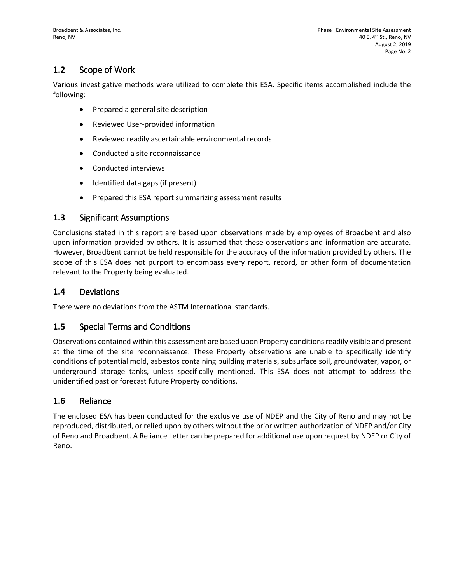## **1.2** Scope of Work

Various investigative methods were utilized to complete this ESA. Specific items accomplished include the following:

- Prepared a general site description
- Reviewed User-provided information
- Reviewed readily ascertainable environmental records
- Conducted a site reconnaissance
- Conducted interviews
- Identified data gaps (if present)
- Prepared this ESA report summarizing assessment results

### **1.3** Significant Assumptions

Conclusions stated in this report are based upon observations made by employees of Broadbent and also upon information provided by others. It is assumed that these observations and information are accurate. However, Broadbent cannot be held responsible for the accuracy of the information provided by others. The scope of this ESA does not purport to encompass every report, record, or other form of documentation relevant to the Property being evaluated.

### **1.4** Deviations

There were no deviations from the ASTM International standards.

### **1.5** Special Terms and Conditions

Observations contained within this assessment are based upon Property conditions readily visible and present at the time of the site reconnaissance. These Property observations are unable to specifically identify conditions of potential mold, asbestos containing building materials, subsurface soil, groundwater, vapor, or underground storage tanks, unless specifically mentioned. This ESA does not attempt to address the unidentified past or forecast future Property conditions.

### **1.6** Reliance

The enclosed ESA has been conducted for the exclusive use of NDEP and the City of Reno and may not be reproduced, distributed, or relied upon by others without the prior written authorization of NDEP and/or City of Reno and Broadbent. A Reliance Letter can be prepared for additional use upon request by NDEP or City of Reno.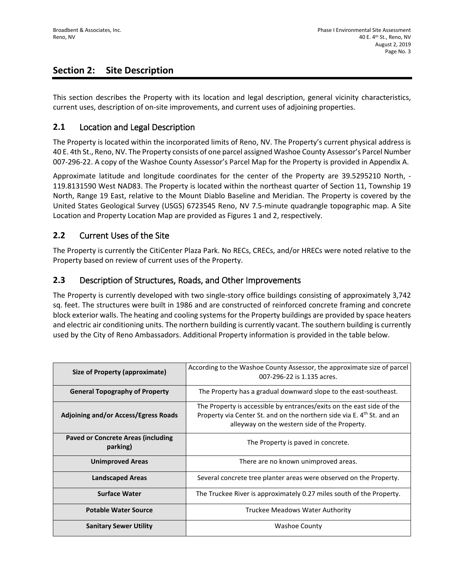## **Section 2: Site Description**

This section describes the Property with its location and legal description, general vicinity characteristics, current uses, description of on-site improvements, and current uses of adjoining properties.

### **2.1** Location and Legal Description

The Property is located within the incorporated limits of Reno, NV. The Property's current physical address is 40 E. 4th St., Reno, NV. The Property consists of one parcel assigned Washoe County Assessor's Parcel Number 007-296-22. A copy of the Washoe County Assessor's Parcel Map for the Property is provided in Appendix A.

Approximate latitude and longitude coordinates for the center of the Property are 39.5295210 North, - 119.8131590 West NAD83. The Property is located within the northeast quarter of Section 11, Township 19 North, Range 19 East, relative to the Mount Diablo Baseline and Meridian. The Property is covered by the United States Geological Survey (USGS) 6723545 Reno, NV 7.5-minute quadrangle topographic map. A Site Location and Property Location Map are provided as Figures 1 and 2, respectively.

### **2.2** Current Uses of the Site

The Property is currently the CitiCenter Plaza Park. No RECs, CRECs, and/or HRECs were noted relative to the Property based on review of current uses of the Property.

### **2.3** Description of Structures, Roads, and Other Improvements

The Property is currently developed with two single-story office buildings consisting of approximately 3,742 sq. feet. The structures were built in 1986 and are constructed of reinforced concrete framing and concrete block exterior walls. The heating and cooling systems for the Property buildings are provided by space heaters and electric air conditioning units. The northern building is currently vacant. The southern building is currently used by the City of Reno Ambassadors. Additional Property information is provided in the table below.

| Size of Property (approximate)                 | According to the Washoe County Assessor, the approximate size of parcel<br>007-296-22 is 1.135 acres.                                                                                                        |  |
|------------------------------------------------|--------------------------------------------------------------------------------------------------------------------------------------------------------------------------------------------------------------|--|
| <b>General Topography of Property</b>          | The Property has a gradual downward slope to the east-southeast.                                                                                                                                             |  |
| <b>Adjoining and/or Access/Egress Roads</b>    | The Property is accessible by entrances/exits on the east side of the<br>Property via Center St. and on the northern side via E. 4 <sup>th</sup> St. and an<br>alleyway on the western side of the Property. |  |
| Paved or Concrete Areas (including<br>parking) | The Property is paved in concrete.                                                                                                                                                                           |  |
| <b>Unimproved Areas</b>                        | There are no known unimproved areas.                                                                                                                                                                         |  |
| <b>Landscaped Areas</b>                        | Several concrete tree planter areas were observed on the Property.                                                                                                                                           |  |
| <b>Surface Water</b>                           | The Truckee River is approximately 0.27 miles south of the Property.                                                                                                                                         |  |
| <b>Potable Water Source</b>                    | Truckee Meadows Water Authority                                                                                                                                                                              |  |
| <b>Sanitary Sewer Utility</b>                  | Washoe County                                                                                                                                                                                                |  |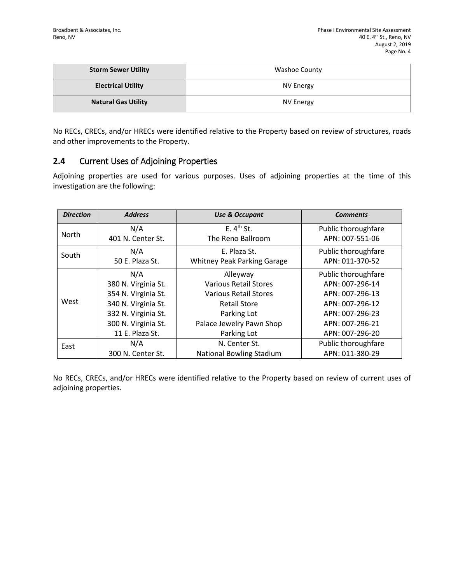| <b>Storm Sewer Utility</b> | Washoe County |
|----------------------------|---------------|
| <b>Electrical Utility</b>  | NV Energy     |
| <b>Natural Gas Utility</b> | NV Energy     |

No RECs, CRECs, and/or HRECs were identified relative to the Property based on review of structures, roads and other improvements to the Property.

### **2.4** Current Uses of Adjoining Properties

Adjoining properties are used for various purposes. Uses of adjoining properties at the time of this investigation are the following:

| <b>Direction</b> | <b>Address</b>      | <b>Use &amp; Occupant</b>          | <b>Comments</b>     |
|------------------|---------------------|------------------------------------|---------------------|
|                  | N/A                 | E.4 <sup>th</sup> St.              | Public thoroughfare |
| <b>North</b>     | 401 N. Center St.   | The Reno Ballroom                  | APN: 007-551-06     |
| South            | N/A                 | E. Plaza St.                       | Public thoroughfare |
|                  | 50 E. Plaza St.     | <b>Whitney Peak Parking Garage</b> | APN: 011-370-52     |
|                  | N/A                 | Alleyway                           | Public thoroughfare |
|                  | 380 N. Virginia St. | <b>Various Retail Stores</b>       | APN: 007-296-14     |
|                  | 354 N. Virginia St. | <b>Various Retail Stores</b>       | APN: 007-296-13     |
| West             | 340 N. Virginia St. | <b>Retail Store</b>                | APN: 007-296-12     |
|                  | 332 N. Virginia St. | Parking Lot                        | APN: 007-296-23     |
|                  | 300 N. Virginia St. | Palace Jewelry Pawn Shop           | APN: 007-296-21     |
|                  | 11 E. Plaza St.     | Parking Lot                        | APN: 007-296-20     |
| East             | N/A                 | N. Center St.                      | Public thoroughfare |
|                  | 300 N. Center St.   | <b>National Bowling Stadium</b>    | APN: 011-380-29     |

No RECs, CRECs, and/or HRECs were identified relative to the Property based on review of current uses of adjoining properties.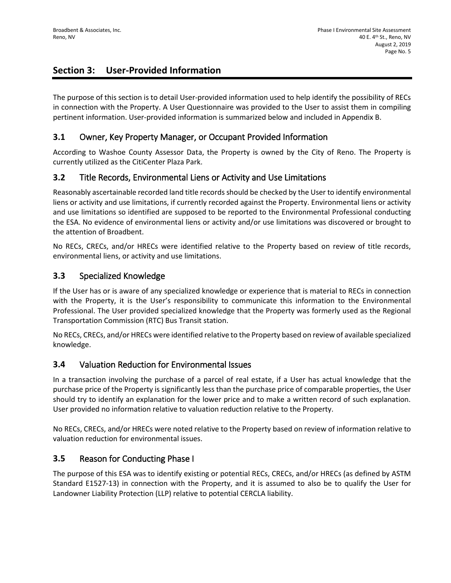## **Section 3: User-Provided Information**

The purpose of this section is to detail User-provided information used to help identify the possibility of RECs in connection with the Property. A User Questionnaire was provided to the User to assist them in compiling pertinent information. User-provided information is summarized below and included in Appendix B.

### **3.1** Owner, Key Property Manager, or Occupant Provided Information

According to Washoe County Assessor Data, the Property is owned by the City of Reno. The Property is currently utilized as the CitiCenter Plaza Park.

### **3.2** Title Records, Environmental Liens or Activity and Use Limitations

Reasonably ascertainable recorded land title records should be checked by the User to identify environmental liens or activity and use limitations, if currently recorded against the Property. Environmental liens or activity and use limitations so identified are supposed to be reported to the Environmental Professional conducting the ESA. No evidence of environmental liens or activity and/or use limitations was discovered or brought to the attention of Broadbent.

No RECs, CRECs, and/or HRECs were identified relative to the Property based on review of title records, environmental liens, or activity and use limitations.

### **3.3** Specialized Knowledge

If the User has or is aware of any specialized knowledge or experience that is material to RECs in connection with the Property, it is the User's responsibility to communicate this information to the Environmental Professional. The User provided specialized knowledge that the Property was formerly used as the Regional Transportation Commission (RTC) Bus Transit station.

No RECs, CRECs, and/or HRECs were identified relative to the Property based on review of available specialized knowledge.

### **3.4** Valuation Reduction for Environmental Issues

In a transaction involving the purchase of a parcel of real estate, if a User has actual knowledge that the purchase price of the Property is significantly less than the purchase price of comparable properties, the User should try to identify an explanation for the lower price and to make a written record of such explanation. User provided no information relative to valuation reduction relative to the Property.

No RECs, CRECs, and/or HRECs were noted relative to the Property based on review of information relative to valuation reduction for environmental issues.

### **3.5** Reason for Conducting Phase I

The purpose of this ESA was to identify existing or potential RECs, CRECs, and/or HRECs (as defined by ASTM Standard E1527-13) in connection with the Property, and it is assumed to also be to qualify the User for Landowner Liability Protection (LLP) relative to potential CERCLA liability.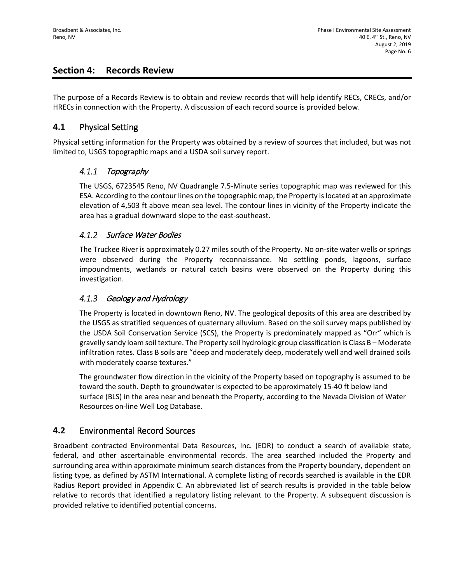### **Section 4: Records Review**

The purpose of a Records Review is to obtain and review records that will help identify RECs, CRECs, and/or HRECs in connection with the Property. A discussion of each record source is provided below.

### **4.1** Physical Setting

Physical setting information for the Property was obtained by a review of sources that included, but was not limited to, USGS topographic maps and a USDA soil survey report.

#### $4.1.1$ Topography

The USGS, 6723545 Reno, NV Quadrangle 7.5-Minute series topographic map was reviewed for this ESA. According to the contour lines on the topographic map, the Property is located at an approximate elevation of 4,503 ft above mean sea level. The contour lines in vicinity of the Property indicate the area has a gradual downward slope to the east-southeast.

### 4.1.2 Surface Water Bodies

The Truckee River is approximately 0.27 miles south of the Property. No on-site water wells or springs were observed during the Property reconnaissance. No settling ponds, lagoons, surface impoundments, wetlands or natural catch basins were observed on the Property during this investigation.

#### $4.1.3$ Geology and Hydrology

The Property is located in downtown Reno, NV. The geological deposits of this area are described by the USGS as stratified sequences of quaternary alluvium. Based on the soil survey maps published by the USDA Soil Conservation Service (SCS), the Property is predominately mapped as "Orr" which is gravelly sandy loam soil texture. The Property soil hydrologic group classification is Class B – Moderate infiltration rates. Class B soils are "deep and moderately deep, moderately well and well drained soils with moderately coarse textures."

The groundwater flow direction in the vicinity of the Property based on topography is assumed to be toward the south. Depth to groundwater is expected to be approximately 15-40 ft below land surface (BLS) in the area near and beneath the Property, according to the Nevada Division of Water Resources on-line Well Log Database.

### **4.2** Environmental Record Sources

Broadbent contracted Environmental Data Resources, Inc. (EDR) to conduct a search of available state, federal, and other ascertainable environmental records. The area searched included the Property and surrounding area within approximate minimum search distances from the Property boundary, dependent on listing type, as defined by ASTM International. A complete listing of records searched is available in the EDR Radius Report provided in Appendix C. An abbreviated list of search results is provided in the table below relative to records that identified a regulatory listing relevant to the Property. A subsequent discussion is provided relative to identified potential concerns.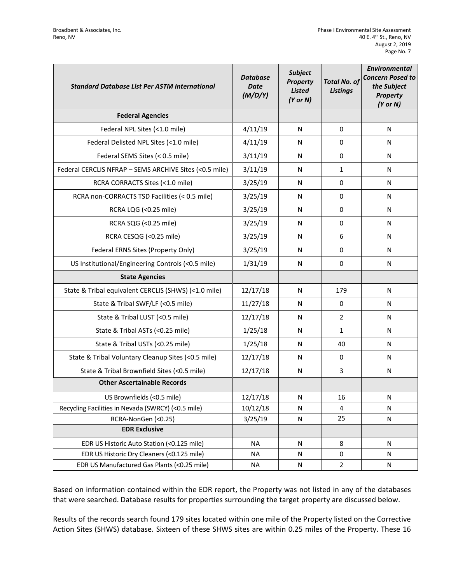| <b>Standard Database List Per ASTM International</b>   | <b>Database</b><br><b>Date</b><br>(M/D/Y) | <b>Subject</b><br><b>Property</b><br><b>Listed</b><br>$(Y$ or $N)$ | <b>Total No. of</b><br><b>Listings</b> | <b>Environmental</b><br><b>Concern Posed to</b><br>the Subject<br><b>Property</b><br>$(Y$ or $N)$ |
|--------------------------------------------------------|-------------------------------------------|--------------------------------------------------------------------|----------------------------------------|---------------------------------------------------------------------------------------------------|
| <b>Federal Agencies</b>                                |                                           |                                                                    |                                        |                                                                                                   |
| Federal NPL Sites (<1.0 mile)                          | 4/11/19                                   | N                                                                  | 0                                      | N                                                                                                 |
| Federal Delisted NPL Sites (<1.0 mile)                 | 4/11/19                                   | N                                                                  | 0                                      | N                                                                                                 |
| Federal SEMS Sites (< 0.5 mile)                        | 3/11/19                                   | N                                                                  | 0                                      | N                                                                                                 |
| Federal CERCLIS NFRAP - SEMS ARCHIVE Sites (<0.5 mile) | 3/11/19                                   | N                                                                  | $\mathbf{1}$                           | N                                                                                                 |
| RCRA CORRACTS Sites (<1.0 mile)                        | 3/25/19                                   | N                                                                  | 0                                      | N                                                                                                 |
| RCRA non-CORRACTS TSD Facilities (< 0.5 mile)          | 3/25/19                                   | N                                                                  | 0                                      | N                                                                                                 |
| RCRA LQG (<0.25 mile)                                  | 3/25/19                                   | N                                                                  | 0                                      | N                                                                                                 |
| RCRA SQG (<0.25 mile)                                  | 3/25/19                                   | N                                                                  | 0                                      | N                                                                                                 |
| RCRA CESQG (<0.25 mile)                                | 3/25/19                                   | N                                                                  | 6                                      | N                                                                                                 |
| Federal ERNS Sites (Property Only)                     | 3/25/19                                   | N                                                                  | $\Omega$                               | N                                                                                                 |
| US Institutional/Engineering Controls (<0.5 mile)      | 1/31/19                                   | N                                                                  | 0                                      | N                                                                                                 |
| <b>State Agencies</b>                                  |                                           |                                                                    |                                        |                                                                                                   |
| State & Tribal equivalent CERCLIS (SHWS) (<1.0 mile)   | 12/17/18                                  | N                                                                  | 179                                    | N                                                                                                 |
| State & Tribal SWF/LF (<0.5 mile)                      | 11/27/18                                  | N                                                                  | 0                                      | N                                                                                                 |
| State & Tribal LUST (<0.5 mile)                        | 12/17/18                                  | N                                                                  | $\overline{2}$                         | N                                                                                                 |
| State & Tribal ASTs (<0.25 mile)                       | 1/25/18                                   | N                                                                  | $\mathbf{1}$                           | N                                                                                                 |
| State & Tribal USTs (<0.25 mile)                       | 1/25/18                                   | N                                                                  | 40                                     | N                                                                                                 |
| State & Tribal Voluntary Cleanup Sites (<0.5 mile)     | 12/17/18                                  | N                                                                  | 0                                      | N                                                                                                 |
| State & Tribal Brownfield Sites (<0.5 mile)            | 12/17/18                                  | N                                                                  | 3                                      | N                                                                                                 |
| <b>Other Ascertainable Records</b>                     |                                           |                                                                    |                                        |                                                                                                   |
| US Brownfields (<0.5 mile)                             | 12/17/18                                  | N                                                                  | 16                                     | N                                                                                                 |
| Recycling Facilities in Nevada (SWRCY) (<0.5 mile)     | 10/12/18                                  | N                                                                  | 4                                      | N                                                                                                 |
| RCRA-NonGen (<0.25)                                    | 3/25/19                                   | ${\sf N}$                                                          | 25                                     | N                                                                                                 |
| <b>EDR Exclusive</b>                                   |                                           |                                                                    |                                        |                                                                                                   |
| EDR US Historic Auto Station (<0.125 mile)             | <b>NA</b>                                 | N                                                                  | 8                                      | N                                                                                                 |
| EDR US Historic Dry Cleaners (<0.125 mile)             | <b>NA</b>                                 | N                                                                  | 0                                      | N                                                                                                 |
| EDR US Manufactured Gas Plants (<0.25 mile)            | <b>NA</b>                                 | N                                                                  | $\overline{2}$                         | N                                                                                                 |

Based on information contained within the EDR report, the Property was not listed in any of the databases that were searched. Database results for properties surrounding the target property are discussed below.

Results of the records search found 179 sites located within one mile of the Property listed on the Corrective Action Sites (SHWS) database. Sixteen of these SHWS sites are within 0.25 miles of the Property. These 16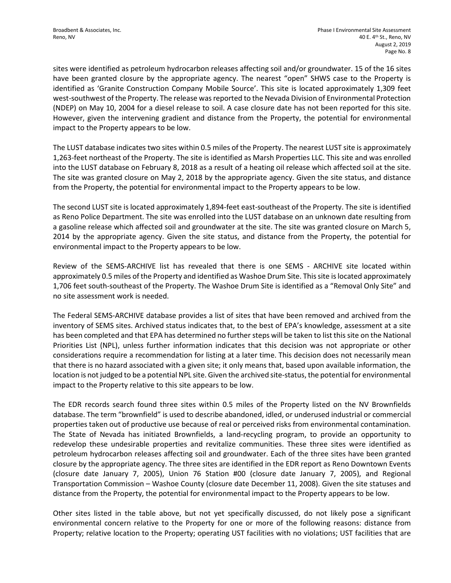sites were identified as petroleum hydrocarbon releases affecting soil and/or groundwater. 15 of the 16 sites have been granted closure by the appropriate agency. The nearest "open" SHWS case to the Property is identified as 'Granite Construction Company Mobile Source'. This site is located approximately 1,309 feet west-southwest of the Property. The release was reported to the Nevada Division of Environmental Protection (NDEP) on May 10, 2004 for a diesel release to soil. A case closure date has not been reported for this site. However, given the intervening gradient and distance from the Property, the potential for environmental impact to the Property appears to be low.

The LUST database indicates two sites within 0.5 miles of the Property. The nearest LUST site is approximately 1,263-feet northeast of the Property. The site is identified as Marsh Properties LLC. This site and was enrolled into the LUST database on February 8, 2018 as a result of a heating oil release which affected soil at the site. The site was granted closure on May 2, 2018 by the appropriate agency. Given the site status, and distance from the Property, the potential for environmental impact to the Property appears to be low.

The second LUST site is located approximately 1,894-feet east-southeast of the Property. The site is identified as Reno Police Department. The site was enrolled into the LUST database on an unknown date resulting from a gasoline release which affected soil and groundwater at the site. The site was granted closure on March 5, 2014 by the appropriate agency. Given the site status, and distance from the Property, the potential for environmental impact to the Property appears to be low.

Review of the SEMS-ARCHIVE list has revealed that there is one SEMS - ARCHIVE site located within approximately 0.5 miles of the Property and identified as Washoe Drum Site. This site is located approximately 1,706 feet south-southeast of the Property. The Washoe Drum Site is identified as a "Removal Only Site" and no site assessment work is needed.

The Federal SEMS-ARCHIVE database provides a list of sites that have been removed and archived from the inventory of SEMS sites. Archived status indicates that, to the best of EPA's knowledge, assessment at a site has been completed and that EPA has determined no further steps will be taken to list this site on the National Priorities List (NPL), unless further information indicates that this decision was not appropriate or other considerations require a recommendation for listing at a later time. This decision does not necessarily mean that there is no hazard associated with a given site; it only means that, based upon available information, the location is not judged to be a potential NPL site. Given the archived site-status, the potential for environmental impact to the Property relative to this site appears to be low.

The EDR records search found three sites within 0.5 miles of the Property listed on the NV Brownfields database. The term "brownfield" is used to describe abandoned, idled, or underused industrial or commercial properties taken out of productive use because of real or perceived risks from environmental contamination. The State of Nevada has initiated Brownfields, a land-recycling program, to provide an opportunity to redevelop these undesirable properties and revitalize communities. These three sites were identified as petroleum hydrocarbon releases affecting soil and groundwater. Each of the three sites have been granted closure by the appropriate agency. The three sites are identified in the EDR report as Reno Downtown Events (closure date January 7, 2005), Union 76 Station #00 (closure date January 7, 2005), and Regional Transportation Commission – Washoe County (closure date December 11, 2008). Given the site statuses and distance from the Property, the potential for environmental impact to the Property appears to be low.

Other sites listed in the table above, but not yet specifically discussed, do not likely pose a significant environmental concern relative to the Property for one or more of the following reasons: distance from Property; relative location to the Property; operating UST facilities with no violations; UST facilities that are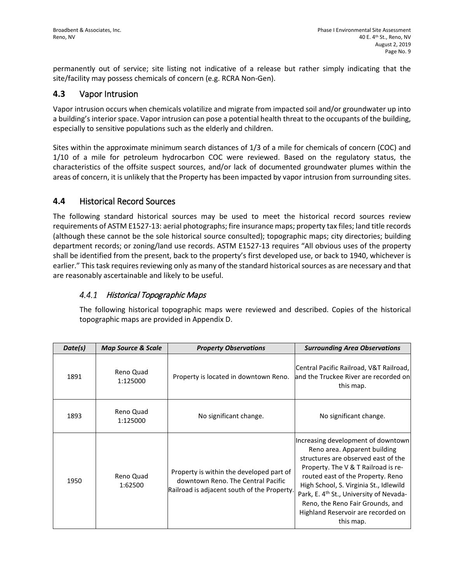permanently out of service; site listing not indicative of a release but rather simply indicating that the site/facility may possess chemicals of concern (e.g. RCRA Non-Gen).

### **4.3** Vapor Intrusion

Vapor intrusion occurs when chemicals volatilize and migrate from impacted soil and/or groundwater up into a building's interior space. Vapor intrusion can pose a potential health threat to the occupants of the building, especially to sensitive populations such as the elderly and children.

Sites within the approximate minimum search distances of 1/3 of a mile for chemicals of concern (COC) and 1/10 of a mile for petroleum hydrocarbon COC were reviewed. Based on the regulatory status, the characteristics of the offsite suspect sources, and/or lack of documented groundwater plumes within the areas of concern, it is unlikely that the Property has been impacted by vapor intrusion from surrounding sites.

### **4.4** Historical Record Sources

The following standard historical sources may be used to meet the historical record sources review requirements of ASTM E1527-13: aerial photographs; fire insurance maps; property tax files; land title records (although these cannot be the sole historical source consulted); topographic maps; city directories; building department records; or zoning/land use records. ASTM E1527-13 requires "All obvious uses of the property shall be identified from the present, back to the property's first developed use, or back to 1940, whichever is earlier." This task requires reviewing only as many of the standard historical sources as are necessary and that are reasonably ascertainable and likely to be useful.

#### Historical Topographic Maps 4.4.1

The following historical topographic maps were reviewed and described. Copies of the historical topographic maps are provided in Appendix D.

| Date(s) | <b>Map Source &amp; Scale</b> | <b>Property Observations</b>                                                                                                  | <b>Surrounding Area Observations</b>                                                                                                                                                                                                                                                                                                                                          |
|---------|-------------------------------|-------------------------------------------------------------------------------------------------------------------------------|-------------------------------------------------------------------------------------------------------------------------------------------------------------------------------------------------------------------------------------------------------------------------------------------------------------------------------------------------------------------------------|
| 1891    | Reno Quad<br>1:125000         | Property is located in downtown Reno.                                                                                         | Central Pacific Railroad, V&T Railroad,<br>and the Truckee River are recorded on<br>this map.                                                                                                                                                                                                                                                                                 |
| 1893    | Reno Quad<br>1:125000         | No significant change.                                                                                                        | No significant change.                                                                                                                                                                                                                                                                                                                                                        |
| 1950    | Reno Quad<br>1:62500          | Property is within the developed part of<br>downtown Reno. The Central Pacific<br>Railroad is adjacent south of the Property. | Increasing development of downtown<br>Reno area. Apparent building<br>structures are observed east of the<br>Property. The V & T Railroad is re-<br>routed east of the Property. Reno<br>High School, S. Virginia St., Idlewild<br>Park, E. 4 <sup>th</sup> St., University of Nevada-<br>Reno, the Reno Fair Grounds, and<br>Highland Reservoir are recorded on<br>this map. |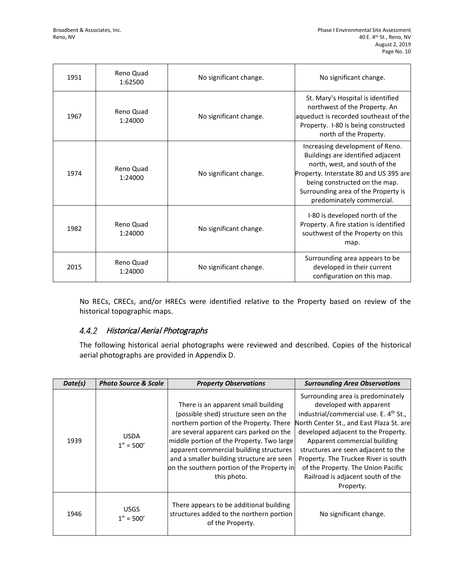| 1951 | Reno Quad<br>1:62500 | No significant change. | No significant change.                                                                                                                                                                                                                               |
|------|----------------------|------------------------|------------------------------------------------------------------------------------------------------------------------------------------------------------------------------------------------------------------------------------------------------|
| 1967 | Reno Quad<br>1:24000 | No significant change. | St. Mary's Hospital is identified<br>northwest of the Property. An<br>aqueduct is recorded southeast of the<br>Property. I-80 is being constructed<br>north of the Property.                                                                         |
| 1974 | Reno Quad<br>1:24000 | No significant change. | Increasing development of Reno.<br>Buildings are identified adjacent<br>north, west, and south of the<br>Property. Interstate 80 and US 395 are<br>being constructed on the map.<br>Surrounding area of the Property is<br>predominately commercial. |
| 1982 | Reno Quad<br>1:24000 | No significant change. | I-80 is developed north of the<br>Property. A fire station is identified<br>southwest of the Property on this<br>map.                                                                                                                                |
| 2015 | Reno Quad<br>1:24000 | No significant change. | Surrounding area appears to be<br>developed in their current<br>configuration on this map.                                                                                                                                                           |

No RECs, CRECs, and/or HRECs were identified relative to the Property based on review of the historical topographic maps.

### 4.4.2 Historical Aerial Photographs

The following historical aerial photographs were reviewed and described. Copies of the historical aerial photographs are provided in Appendix D.

| Date(s) | <b>Photo Source &amp; Scale</b> | <b>Property Observations</b>                                                                                                                                                                                                                                                                                                                                         | <b>Surrounding Area Observations</b>                                                                                                                                                                                                                                                                                                                                                                         |
|---------|---------------------------------|----------------------------------------------------------------------------------------------------------------------------------------------------------------------------------------------------------------------------------------------------------------------------------------------------------------------------------------------------------------------|--------------------------------------------------------------------------------------------------------------------------------------------------------------------------------------------------------------------------------------------------------------------------------------------------------------------------------------------------------------------------------------------------------------|
| 1939    | <b>USDA</b><br>$1'' = 500'$     | There is an apparent small building<br>(possible shed) structure seen on the<br>northern portion of the Property. There<br>are several apparent cars parked on the<br>middle portion of the Property. Two large<br>apparent commercial building structures<br>and a smaller building structure are seen<br>on the southern portion of the Property in<br>this photo. | Surrounding area is predominately<br>developed with apparent<br>industrial/commercial use. E. 4 <sup>th</sup> St.,<br>North Center St., and East Plaza St. are<br>developed adjacent to the Property.<br>Apparent commercial building<br>structures are seen adjacent to the<br>Property. The Truckee River is south<br>of the Property. The Union Pacific<br>Railroad is adjacent south of the<br>Property. |
| 1946    | <b>USGS</b><br>$1'' = 500'$     | There appears to be additional building<br>structures added to the northern portion<br>of the Property.                                                                                                                                                                                                                                                              | No significant change.                                                                                                                                                                                                                                                                                                                                                                                       |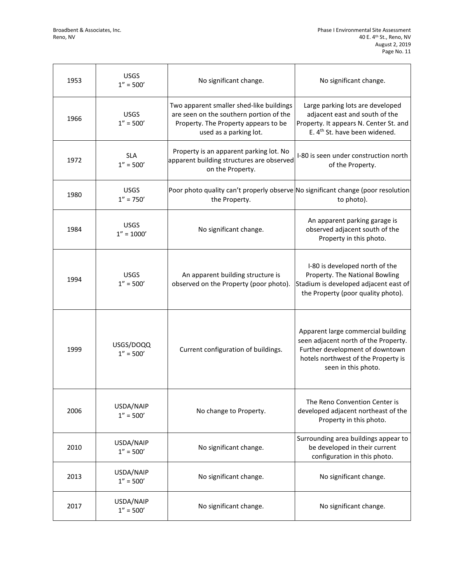$\overline{\mathsf{T}}$ 

 $\mathsf{r}$ 

┑

 $\overline{\phantom{a}}$ 

| 1953 | <b>USGS</b><br>$1'' = 500'$  | No significant change.                                                                                                                                | No significant change.                                                                                                                                                      |
|------|------------------------------|-------------------------------------------------------------------------------------------------------------------------------------------------------|-----------------------------------------------------------------------------------------------------------------------------------------------------------------------------|
| 1966 | <b>USGS</b><br>$1'' = 500'$  | Two apparent smaller shed-like buildings<br>are seen on the southern portion of the<br>Property. The Property appears to be<br>used as a parking lot. | Large parking lots are developed<br>adjacent east and south of the<br>Property. It appears N. Center St. and<br>E. 4 <sup>th</sup> St. have been widened.                   |
| 1972 | <b>SLA</b><br>$1'' = 500'$   | Property is an apparent parking lot. No<br>apparent building structures are observed<br>on the Property.                                              | I-80 is seen under construction north<br>of the Property.                                                                                                                   |
| 1980 | <b>USGS</b><br>$1'' = 750'$  | Poor photo quality can't properly observe No significant change (poor resolution<br>the Property.                                                     | to photo).                                                                                                                                                                  |
| 1984 | <b>USGS</b><br>$1'' = 1000'$ | No significant change.                                                                                                                                | An apparent parking garage is<br>observed adjacent south of the<br>Property in this photo.                                                                                  |
| 1994 | <b>USGS</b><br>$1'' = 500'$  | An apparent building structure is<br>observed on the Property (poor photo).                                                                           | I-80 is developed north of the<br>Property. The National Bowling<br>Stadium is developed adjacent east of<br>the Property (poor quality photo).                             |
| 1999 | USGS/DOQQ<br>$1'' = 500'$    | Current configuration of buildings.                                                                                                                   | Apparent large commercial building<br>seen adjacent north of the Property.<br>Further development of downtown<br>hotels northwest of the Property is<br>seen in this photo. |
| 2006 | USDA/NAIP<br>$1'' = 500'$    | No change to Property.                                                                                                                                | The Reno Convention Center is<br>developed adjacent northeast of the<br>Property in this photo.                                                                             |
| 2010 | USDA/NAIP<br>$1'' = 500'$    | No significant change.                                                                                                                                | Surrounding area buildings appear to<br>be developed in their current<br>configuration in this photo.                                                                       |
| 2013 | USDA/NAIP<br>$1'' = 500'$    | No significant change.                                                                                                                                | No significant change.                                                                                                                                                      |
| 2017 | USDA/NAIP<br>$1'' = 500'$    | No significant change.                                                                                                                                | No significant change.                                                                                                                                                      |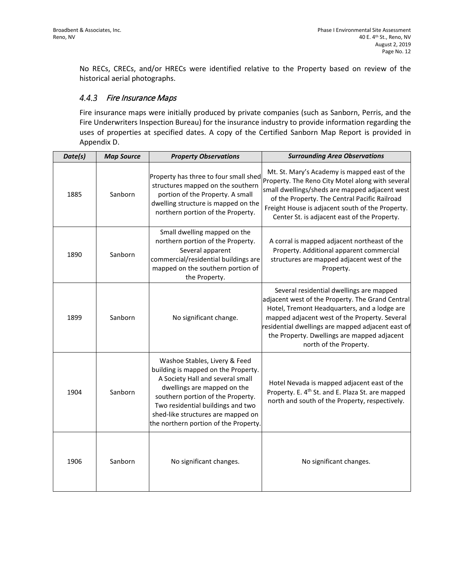No RECs, CRECs, and/or HRECs were identified relative to the Property based on review of the historical aerial photographs.

#### $4.4.3$ Fire Insurance Maps

Fire insurance maps were initially produced by private companies (such as Sanborn, Perris, and the Fire Underwriters Inspection Bureau) for the insurance industry to provide information regarding the uses of properties at specified dates. A copy of the Certified Sanborn Map Report is provided in Appendix D.

| Date(s) | <b>Map Source</b> | <b>Property Observations</b>                                                                                                                                                                                                                                                                     | <b>Surrounding Area Observations</b>                                                                                                                                                                                                                                                                                        |
|---------|-------------------|--------------------------------------------------------------------------------------------------------------------------------------------------------------------------------------------------------------------------------------------------------------------------------------------------|-----------------------------------------------------------------------------------------------------------------------------------------------------------------------------------------------------------------------------------------------------------------------------------------------------------------------------|
| 1885    | Sanborn           | Property has three to four small shed<br>structures mapped on the southern<br>portion of the Property. A small<br>dwelling structure is mapped on the<br>northern portion of the Property.                                                                                                       | Mt. St. Mary's Academy is mapped east of the<br>Property. The Reno City Motel along with several<br>small dwellings/sheds are mapped adjacent west<br>of the Property. The Central Pacific Railroad<br>Freight House is adjacent south of the Property.<br>Center St. is adjacent east of the Property.                     |
| 1890    | Sanborn           | Small dwelling mapped on the<br>northern portion of the Property.<br>Several apparent<br>commercial/residential buildings are<br>mapped on the southern portion of<br>the Property.                                                                                                              | A corral is mapped adjacent northeast of the<br>Property. Additional apparent commercial<br>structures are mapped adjacent west of the<br>Property.                                                                                                                                                                         |
| 1899    | Sanborn           | No significant change.                                                                                                                                                                                                                                                                           | Several residential dwellings are mapped<br>adjacent west of the Property. The Grand Central<br>Hotel, Tremont Headquarters, and a lodge are<br>mapped adjacent west of the Property. Several<br>residential dwellings are mapped adjacent east of<br>the Property. Dwellings are mapped adjacent<br>north of the Property. |
| 1904    | Sanborn           | Washoe Stables, Livery & Feed<br>building is mapped on the Property.<br>A Society Hall and several small<br>dwellings are mapped on the<br>southern portion of the Property.<br>Two residential buildings and two<br>shed-like structures are mapped on<br>the northern portion of the Property. | Hotel Nevada is mapped adjacent east of the<br>Property. E. 4 <sup>th</sup> St. and E. Plaza St. are mapped<br>north and south of the Property, respectively.                                                                                                                                                               |
| 1906    | Sanborn           | No significant changes.                                                                                                                                                                                                                                                                          | No significant changes.                                                                                                                                                                                                                                                                                                     |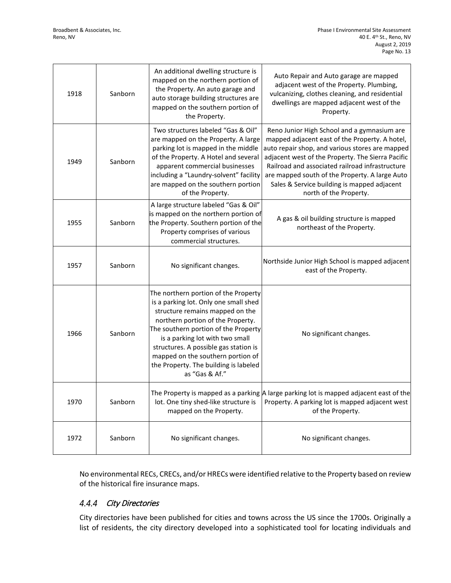| 1918 | Sanborn | An additional dwelling structure is<br>mapped on the northern portion of<br>the Property. An auto garage and<br>auto storage building structures are<br>mapped on the southern portion of<br>the Property.                                                                                                                                                                | Auto Repair and Auto garage are mapped<br>adjacent west of the Property. Plumbing,<br>vulcanizing, clothes cleaning, and residential<br>dwellings are mapped adjacent west of the<br>Property.                                                                                                                                                                                      |
|------|---------|---------------------------------------------------------------------------------------------------------------------------------------------------------------------------------------------------------------------------------------------------------------------------------------------------------------------------------------------------------------------------|-------------------------------------------------------------------------------------------------------------------------------------------------------------------------------------------------------------------------------------------------------------------------------------------------------------------------------------------------------------------------------------|
| 1949 | Sanborn | Two structures labeled "Gas & Oil"<br>are mapped on the Property. A large<br>parking lot is mapped in the middle<br>of the Property. A Hotel and several<br>apparent commercial businesses<br>including a "Laundry-solvent" facility<br>are mapped on the southern portion<br>of the Property.                                                                            | Reno Junior High School and a gymnasium are<br>mapped adjacent east of the Property. A hotel,<br>auto repair shop, and various stores are mapped<br>adjacent west of the Property. The Sierra Pacific<br>Railroad and associated railroad infrastructure<br>are mapped south of the Property. A large Auto<br>Sales & Service building is mapped adjacent<br>north of the Property. |
| 1955 | Sanborn | A large structure labeled "Gas & Oil"<br>is mapped on the northern portion of<br>the Property. Southern portion of the<br>Property comprises of various<br>commercial structures.                                                                                                                                                                                         | A gas & oil building structure is mapped<br>northeast of the Property.                                                                                                                                                                                                                                                                                                              |
| 1957 | Sanborn | No significant changes.                                                                                                                                                                                                                                                                                                                                                   | Northside Junior High School is mapped adjacent<br>east of the Property.                                                                                                                                                                                                                                                                                                            |
| 1966 | Sanborn | The northern portion of the Property<br>is a parking lot. Only one small shed<br>structure remains mapped on the<br>northern portion of the Property.<br>The southern portion of the Property<br>is a parking lot with two small<br>structures. A possible gas station is<br>mapped on the southern portion of<br>the Property. The building is labeled<br>as "Gas & Af." | No significant changes.                                                                                                                                                                                                                                                                                                                                                             |
| 1970 | Sanborn | lot. One tiny shed-like structure is<br>mapped on the Property.                                                                                                                                                                                                                                                                                                           | The Property is mapped as a parking $\vert$ a large parking lot is mapped adjacent east of the<br>Property. A parking lot is mapped adjacent west<br>of the Property.                                                                                                                                                                                                               |
| 1972 | Sanborn | No significant changes.                                                                                                                                                                                                                                                                                                                                                   | No significant changes.                                                                                                                                                                                                                                                                                                                                                             |

No environmental RECs, CRECs, and/or HRECs were identified relative to the Property based on review of the historical fire insurance maps.

#### $4.4.4$ City Directories

City directories have been published for cities and towns across the US since the 1700s. Originally a list of residents, the city directory developed into a sophisticated tool for locating individuals and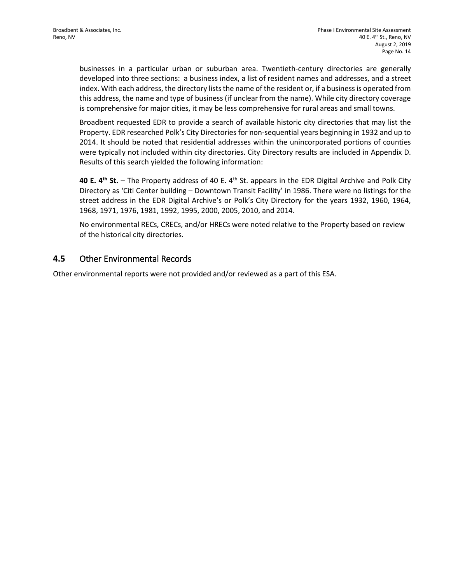businesses in a particular urban or suburban area. Twentieth-century directories are generally developed into three sections: a business index, a list of resident names and addresses, and a street index. With each address, the directory lists the name of the resident or, if a business is operated from this address, the name and type of business (if unclear from the name). While city directory coverage is comprehensive for major cities, it may be less comprehensive for rural areas and small towns.

Broadbent requested EDR to provide a search of available historic city directories that may list the Property. EDR researched Polk's City Directories for non-sequential years beginning in 1932 and up to 2014. It should be noted that residential addresses within the unincorporated portions of counties were typically not included within city directories. City Directory results are included in Appendix D. Results of this search yielded the following information:

**40 E. 4th St.** – The Property address of 40 E. 4th St. appears in the EDR Digital Archive and Polk City Directory as 'Citi Center building – Downtown Transit Facility' in 1986. There were no listings for the street address in the EDR Digital Archive's or Polk's City Directory for the years 1932, 1960, 1964, 1968, 1971, 1976, 1981, 1992, 1995, 2000, 2005, 2010, and 2014.

No environmental RECs, CRECs, and/or HRECs were noted relative to the Property based on review of the historical city directories.

### **4.5** Other Environmental Records

Other environmental reports were not provided and/or reviewed as a part of this ESA.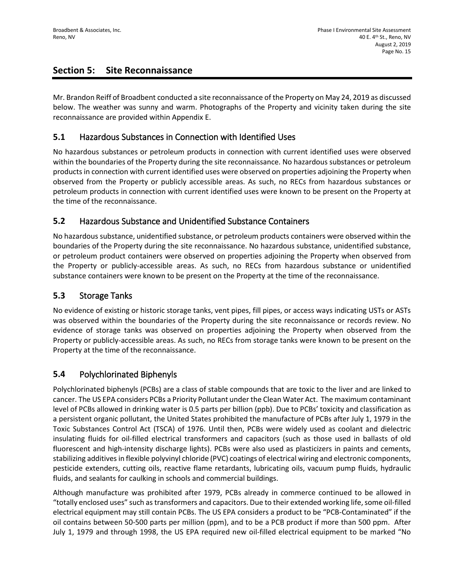## **Section 5: Site Reconnaissance**

Mr. Brandon Reiff of Broadbent conducted a site reconnaissance of the Property on May 24, 2019 as discussed below. The weather was sunny and warm. Photographs of the Property and vicinity taken during the site reconnaissance are provided within Appendix E.

## **5.1** Hazardous Substances in Connection with Identified Uses

No hazardous substances or petroleum products in connection with current identified uses were observed within the boundaries of the Property during the site reconnaissance. No hazardous substances or petroleum products in connection with current identified uses were observed on properties adjoining the Property when observed from the Property or publicly accessible areas. As such, no RECs from hazardous substances or petroleum products in connection with current identified uses were known to be present on the Property at the time of the reconnaissance.

### **5.2** Hazardous Substance and Unidentified Substance Containers

No hazardous substance, unidentified substance, or petroleum products containers were observed within the boundaries of the Property during the site reconnaissance. No hazardous substance, unidentified substance, or petroleum product containers were observed on properties adjoining the Property when observed from the Property or publicly-accessible areas. As such, no RECs from hazardous substance or unidentified substance containers were known to be present on the Property at the time of the reconnaissance.

## **5.3** Storage Tanks

No evidence of existing or historic storage tanks, vent pipes, fill pipes, or access ways indicating USTs or ASTs was observed within the boundaries of the Property during the site reconnaissance or records review. No evidence of storage tanks was observed on properties adjoining the Property when observed from the Property or publicly-accessible areas. As such, no RECs from storage tanks were known to be present on the Property at the time of the reconnaissance.

### **5.4** Polychlorinated Biphenyls

Polychlorinated biphenyls (PCBs) are a class of stable compounds that are toxic to the liver and are linked to cancer. The US EPA considers PCBs a Priority Pollutant under the Clean Water Act. The maximum contaminant level of PCBs allowed in drinking water is 0.5 parts per billion (ppb). Due to PCBs' toxicity and classification as a persistent organic pollutant, the United States prohibited the manufacture of PCBs after July 1, 1979 in the Toxic Substances Control Act (TSCA) of 1976. Until then, PCBs were widely used as coolant and dielectric insulating fluids for oil-filled electrical transformers and capacitors (such as those used in ballasts of old fluorescent and high-intensity discharge lights). PCBs were also used as plasticizers in paints and cements, stabilizing additives in flexible polyvinyl chloride (PVC) coatings of electrical wiring and electronic components, pesticide extenders, cutting oils, reactive flame retardants, lubricating oils, vacuum pump fluids, hydraulic fluids, and sealants for caulking in schools and commercial buildings.

Although manufacture was prohibited after 1979, PCBs already in commerce continued to be allowed in "totally enclosed uses" such as transformers and capacitors. Due to their extended working life, some oil-filled electrical equipment may still contain PCBs. The US EPA considers a product to be "PCB-Contaminated" if the oil contains between 50-500 parts per million (ppm), and to be a PCB product if more than 500 ppm. After July 1, 1979 and through 1998, the US EPA required new oil-filled electrical equipment to be marked "No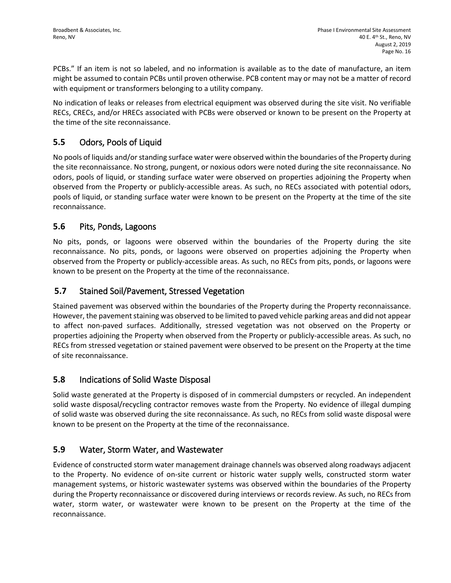PCBs." If an item is not so labeled, and no information is available as to the date of manufacture, an item might be assumed to contain PCBs until proven otherwise. PCB content may or may not be a matter of record with equipment or transformers belonging to a utility company.

No indication of leaks or releases from electrical equipment was observed during the site visit. No verifiable RECs, CRECs, and/or HRECs associated with PCBs were observed or known to be present on the Property at the time of the site reconnaissance.

## **5.5** Odors, Pools of Liquid

No pools of liquids and/or standing surface water were observed within the boundaries of the Property during the site reconnaissance. No strong, pungent, or noxious odors were noted during the site reconnaissance. No odors, pools of liquid, or standing surface water were observed on properties adjoining the Property when observed from the Property or publicly-accessible areas. As such, no RECs associated with potential odors, pools of liquid, or standing surface water were known to be present on the Property at the time of the site reconnaissance.

### **5.6** Pits, Ponds, Lagoons

No pits, ponds, or lagoons were observed within the boundaries of the Property during the site reconnaissance. No pits, ponds, or lagoons were observed on properties adjoining the Property when observed from the Property or publicly-accessible areas. As such, no RECs from pits, ponds, or lagoons were known to be present on the Property at the time of the reconnaissance.

### **5.7** Stained Soil/Pavement, Stressed Vegetation

Stained pavement was observed within the boundaries of the Property during the Property reconnaissance. However, the pavement staining was observed to be limited to paved vehicle parking areas and did not appear to affect non-paved surfaces. Additionally, stressed vegetation was not observed on the Property or properties adjoining the Property when observed from the Property or publicly-accessible areas. As such, no RECs from stressed vegetation or stained pavement were observed to be present on the Property at the time of site reconnaissance.

### **5.8** Indications of Solid Waste Disposal

Solid waste generated at the Property is disposed of in commercial dumpsters or recycled. An independent solid waste disposal/recycling contractor removes waste from the Property. No evidence of illegal dumping of solid waste was observed during the site reconnaissance. As such, no RECs from solid waste disposal were known to be present on the Property at the time of the reconnaissance.

### **5.9** Water, Storm Water, and Wastewater

Evidence of constructed storm water management drainage channels was observed along roadways adjacent to the Property. No evidence of on-site current or historic water supply wells, constructed storm water management systems, or historic wastewater systems was observed within the boundaries of the Property during the Property reconnaissance or discovered during interviews or records review. As such, no RECs from water, storm water, or wastewater were known to be present on the Property at the time of the reconnaissance.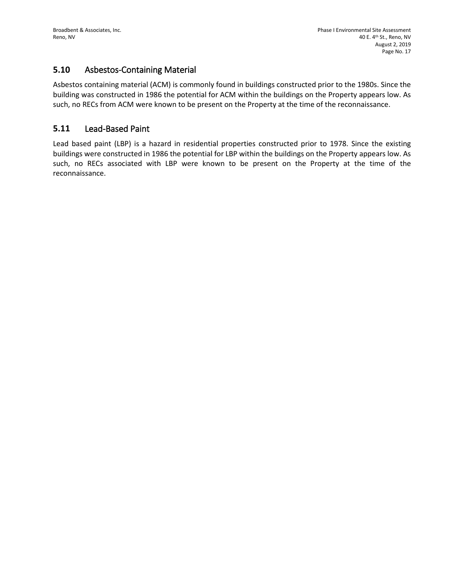### **5.10** Asbestos-Containing Material

Asbestos containing material (ACM) is commonly found in buildings constructed prior to the 1980s. Since the building was constructed in 1986 the potential for ACM within the buildings on the Property appears low. As such, no RECs from ACM were known to be present on the Property at the time of the reconnaissance.

### **5.11** Lead-Based Paint

Lead based paint (LBP) is a hazard in residential properties constructed prior to 1978. Since the existing buildings were constructed in 1986 the potential for LBP within the buildings on the Property appears low. As such, no RECs associated with LBP were known to be present on the Property at the time of the reconnaissance.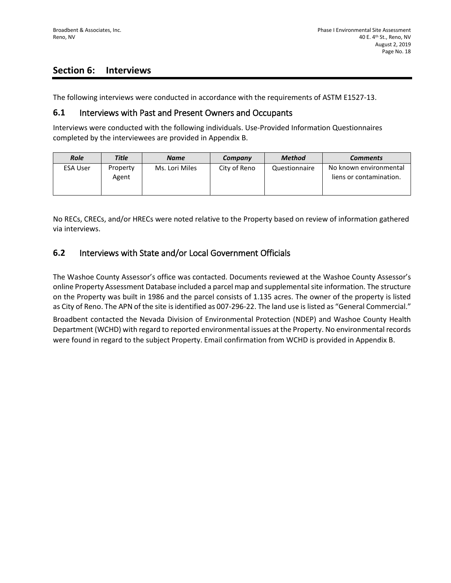## **Section 6: Interviews**

The following interviews were conducted in accordance with the requirements of ASTM E1527-13.

### **6.1** Interviews with Past and Present Owners and Occupants

Interviews were conducted with the following individuals. Use-Provided Information Questionnaires completed by the interviewees are provided in Appendix B.

| <b>Role</b>     | <b>Title</b>      | <b>Name</b>    | Company      | Method        | <b>Comments</b>                                   |
|-----------------|-------------------|----------------|--------------|---------------|---------------------------------------------------|
| <b>ESA User</b> | Property<br>Agent | Ms. Lori Miles | City of Reno | Questionnaire | No known environmental<br>liens or contamination. |

No RECs, CRECs, and/or HRECs were noted relative to the Property based on review of information gathered via interviews.

### **6.2** Interviews with State and/or Local Government Officials

The Washoe County Assessor's office was contacted. Documents reviewed at the Washoe County Assessor's online Property Assessment Database included a parcel map and supplemental site information. The structure on the Property was built in 1986 and the parcel consists of 1.135 acres. The owner of the property is listed as City of Reno. The APN of the site is identified as 007-296-22. The land use is listed as "General Commercial."

Broadbent contacted the Nevada Division of Environmental Protection (NDEP) and Washoe County Health Department (WCHD) with regard to reported environmental issues at the Property. No environmental records were found in regard to the subject Property. Email confirmation from WCHD is provided in Appendix B.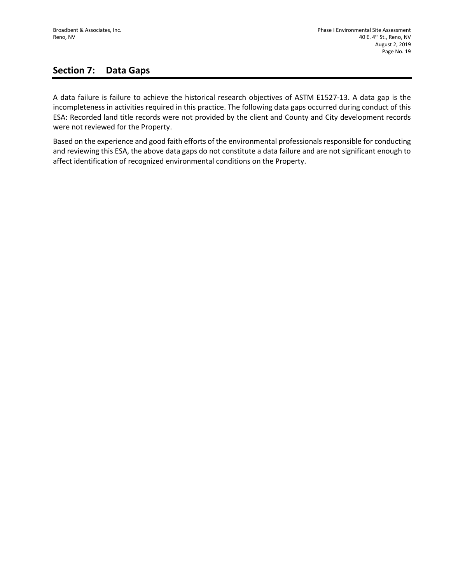## **Section 7: Data Gaps**

A data failure is failure to achieve the historical research objectives of ASTM E1527-13. A data gap is the incompleteness in activities required in this practice. The following data gaps occurred during conduct of this ESA: Recorded land title records were not provided by the client and County and City development records were not reviewed for the Property.

Based on the experience and good faith efforts of the environmental professionals responsible for conducting and reviewing this ESA, the above data gaps do not constitute a data failure and are not significant enough to affect identification of recognized environmental conditions on the Property.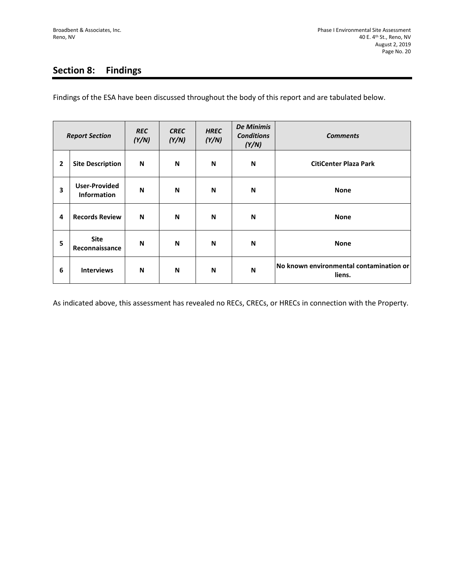# **Section 8: Findings**

Findings of the ESA have been discussed throughout the body of this report and are tabulated below.

| <b>Report Section</b> |                                            | <b>REC</b><br>(Y/N) | <b>CREC</b><br>(Y/N) | <b>HREC</b><br>(Y/N) | <b>De Minimis</b><br><b>Conditions</b><br>(Y/N) | <b>Comments</b>                                   |
|-----------------------|--------------------------------------------|---------------------|----------------------|----------------------|-------------------------------------------------|---------------------------------------------------|
| 2                     | <b>Site Description</b>                    | N                   | N                    | N                    | N                                               | <b>CitiCenter Plaza Park</b>                      |
| 3                     | <b>User-Provided</b><br><b>Information</b> | N                   | N                    | N                    | N                                               | <b>None</b>                                       |
| 4                     | <b>Records Review</b>                      | N                   | N                    | N                    | N                                               | <b>None</b>                                       |
| 5                     | <b>Site</b><br>Reconnaissance              | N                   | N                    | N                    | N                                               | <b>None</b>                                       |
| 6                     | <b>Interviews</b>                          | N                   | N                    | N                    | N                                               | No known environmental contamination or<br>liens. |

As indicated above, this assessment has revealed no RECs, CRECs, or HRECs in connection with the Property.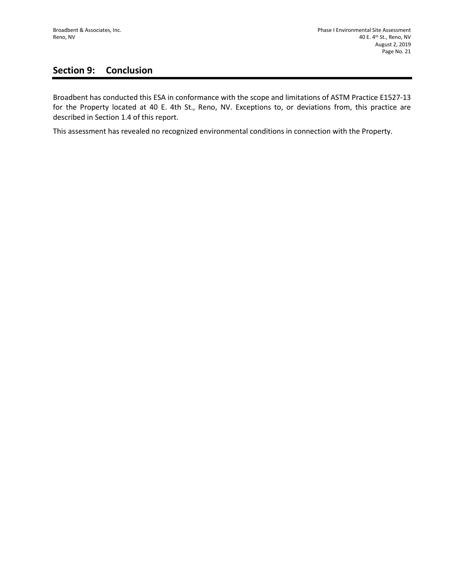# **Section 9: Conclusion**

Broadbent has conducted this ESA in conformance with the scope and limitations of ASTM Practice E1527-13 for the Property located at 40 E. 4th St., Reno, NV. Exceptions to, or deviations from, this practice are described in Section 1.4 of this report.

This assessment has revealed no recognized environmental conditions in connection with the Property.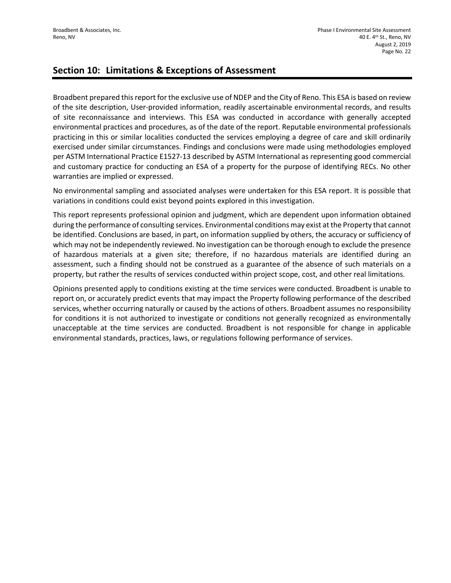### **Section 10: Limitations & Exceptions of Assessment**

Broadbent prepared this report for the exclusive use of NDEP and the City of Reno. This ESA is based on review of the site description, User-provided information, readily ascertainable environmental records, and results of site reconnaissance and interviews. This ESA was conducted in accordance with generally accepted environmental practices and procedures, as of the date of the report. Reputable environmental professionals practicing in this or similar localities conducted the services employing a degree of care and skill ordinarily exercised under similar circumstances. Findings and conclusions were made using methodologies employed per ASTM International Practice E1527-13 described by ASTM International as representing good commercial and customary practice for conducting an ESA of a property for the purpose of identifying RECs. No other warranties are implied or expressed.

No environmental sampling and associated analyses were undertaken for this ESA report. It is possible that variations in conditions could exist beyond points explored in this investigation.

This report represents professional opinion and judgment, which are dependent upon information obtained during the performance of consulting services. Environmental conditions may exist at the Property that cannot be identified. Conclusions are based, in part, on information supplied by others, the accuracy or sufficiency of which may not be independently reviewed. No investigation can be thorough enough to exclude the presence of hazardous materials at a given site; therefore, if no hazardous materials are identified during an assessment, such a finding should not be construed as a guarantee of the absence of such materials on a property, but rather the results of services conducted within project scope, cost, and other real limitations.

Opinions presented apply to conditions existing at the time services were conducted. Broadbent is unable to report on, or accurately predict events that may impact the Property following performance of the described services, whether occurring naturally or caused by the actions of others. Broadbent assumes no responsibility for conditions it is not authorized to investigate or conditions not generally recognized as environmentally unacceptable at the time services are conducted. Broadbent is not responsible for change in applicable environmental standards, practices, laws, or regulations following performance of services.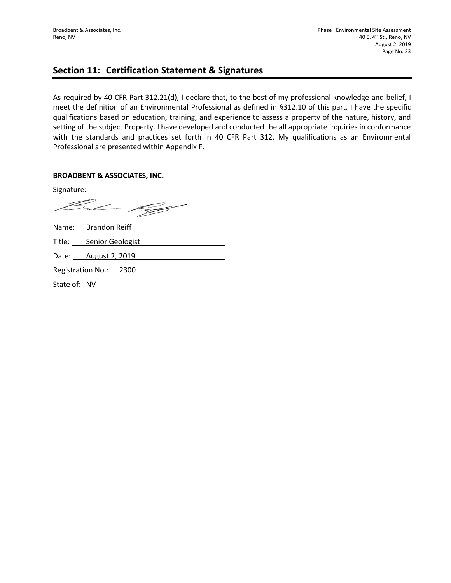### **Section 11: Certification Statement & Signatures**

As required by 40 CFR Part 312.21(d), I declare that, to the best of my professional knowledge and belief, I meet the definition of an Environmental Professional as defined in §312.10 of this part. I have the specific qualifications based on education, training, and experience to assess a property of the nature, history, and setting of the subject Property. I have developed and conducted the all appropriate inquiries in conformance with the standards and practices set forth in 40 CFR Part 312. My qualifications as an Environmental Professional are presented within Appendix F.

### **BROADBENT & ASSOCIATES, INC.**

Signature:

But 199

|              | Name: Brandon Reiff     |
|--------------|-------------------------|
|              | Title: Senior Geologist |
|              | Date: August 2, 2019    |
|              | Registration No.: 2300  |
| State of: NV |                         |